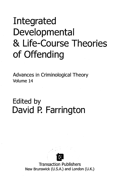## Integrated Developmental & Life-Course Theories of Offending

Advances in Criminological Theory Volume 14

## Edited by David P. Farrington



Transaction Publishers New Brunswick (U.S.A.) and London (U.K.)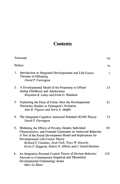## **Contents**

|    | Foreword                                                                                                                                                                                                                                                                                                                                        | vii |
|----|-------------------------------------------------------------------------------------------------------------------------------------------------------------------------------------------------------------------------------------------------------------------------------------------------------------------------------------------------|-----|
|    | Preface                                                                                                                                                                                                                                                                                                                                         | ix  |
| 1. | Introduction to Integrated Developmental and Life-Course<br>Theories of Offending<br>David P. Farrington                                                                                                                                                                                                                                        | 1   |
| 2. | A Developmental Model of the Propensity to Offend<br>during Childhood and Adolescence<br>Benjamin B. Lahey and Irwin D. Waldman                                                                                                                                                                                                                 | 15  |
| 3. | Explaining the Facts of Crime: How the Developmental<br>Taxonomy Replies to Farrington's Invitation<br>Alex R. Piquero and Terrie E. Moffitt                                                                                                                                                                                                    | 51  |
| 4. | The Integrated Cognitive Antisocial Potential (ICAP) Theory<br>David P. Farrington                                                                                                                                                                                                                                                              | 73  |
| 5. | Mediating the Effects of Poverty, Gender, Individual<br>Characteristics, and External Constraints on Antisocial Behavior:<br>A Test of the Social Development Model and Implications for<br>Developmental Life-Course Theory<br>Richard F. Catalano, Jisuk Park, Tracy W. Harachi,<br>Kevin P. Haggerty, Robert D. Abbott, and J. David Hawkins | 93  |
| 6. | An Integrative Personal Control Theory of Deviant Behavior:<br>Answers to Contemporary Empirical and Theoretical<br>Developmental Criminology Issues<br>Marc Le Blanc                                                                                                                                                                           | 125 |